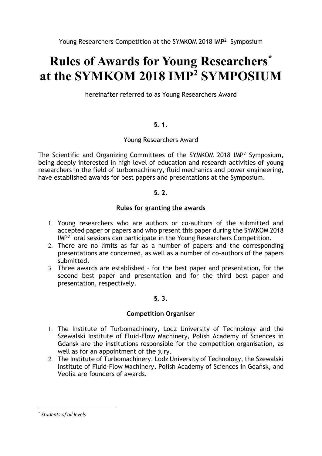# **Rules of Awards for Young Researchers\* at the SYMKOM 2018 IMP<sup>2</sup> SYMPOSIUM**

hereinafter referred to as Young Researchers Award

# **§. 1.**

# Young Researchers Award

The Scientific and Organizing Committees of the SYMKOM 2018 IMP<sup>2</sup> Symposium, being deeply interested in high level of education and research activities of young researchers in the field of turbomachinery, fluid mechanics and power engineering, have established awards for best papers and presentations at the Symposium.

# **§. 2.**

# **Rules for granting the awards**

- 1. Young researchers who are authors or co-authors of the submitted and accepted paper or papers and who present this paper during the SYMKOM 2018 IMP<sup>2</sup> oral sessions can participate in the Young Researchers Competition.
- 2. There are no limits as far as a number of papers and the corresponding presentations are concerned, as well as a number of co-authors of the papers submitted.
- 3. Three awards are established for the best paper and presentation, for the second best paper and presentation and for the third best paper and presentation, respectively.

# **§. 3.**

# **Competition Organiser**

- 1. The Institute of Turbomachinery, Lodz University of Technology and the Szewalski Institute of Fluid-Flow Machinery, Polish Academy of Sciences in Gdańsk are the institutions responsible for the competition organisation, as well as for an appointment of the jury.
- 2. The Institute of Turbomachinery, Lodz University of Technology, the Szewalski Institute of Fluid-Flow Machinery, Polish Academy of Sciences in Gdańsk, and Veolia are founders of awards.

**.** 

<sup>\*</sup> *Students of all levels*